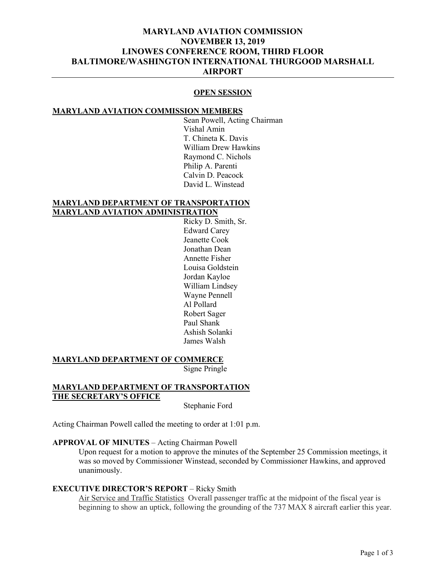# **MARYLAND AVIATION COMMISSION NOVEMBER 13, 2019 LINOWES CONFERENCE ROOM, THIRD FLOOR BALTIMORE/WASHINGTON INTERNATIONAL THURGOOD MARSHALL AIRPORT**

## **OPEN SESSION**

#### **MARYLAND AVIATION COMMISSION MEMBERS**

Sean Powell, Acting Chairman Vishal Amin T. Chineta K. Davis William Drew Hawkins Raymond C. Nichols Philip A. Parenti Calvin D. Peacock David L. Winstead

### **MARYLAND DEPARTMENT OF TRANSPORTATION MARYLAND AVIATION ADMINISTRATION**

Ricky D. Smith, Sr. Edward Carey Jeanette Cook Jonathan Dean Annette Fisher Louisa Goldstein Jordan Kayloe William Lindsey Wayne Pennell Al Pollard Robert Sager Paul Shank Ashish Solanki James Walsh

# **MARYLAND DEPARTMENT OF COMMERCE**

Signe Pringle

### **MARYLAND DEPARTMENT OF TRANSPORTATION THE SECRETARY'S OFFICE**

Stephanie Ford

Acting Chairman Powell called the meeting to order at 1:01 p.m.

#### **APPROVAL OF MINUTES** – Acting Chairman Powell

Upon request for a motion to approve the minutes of the September 25 Commission meetings, it was so moved by Commissioner Winstead, seconded by Commissioner Hawkins, and approved unanimously.

## **EXECUTIVE DIRECTOR'S REPORT** – Ricky Smith

Air Service and Traffic Statistics Overall passenger traffic at the midpoint of the fiscal year is beginning to show an uptick, following the grounding of the 737 MAX 8 aircraft earlier this year.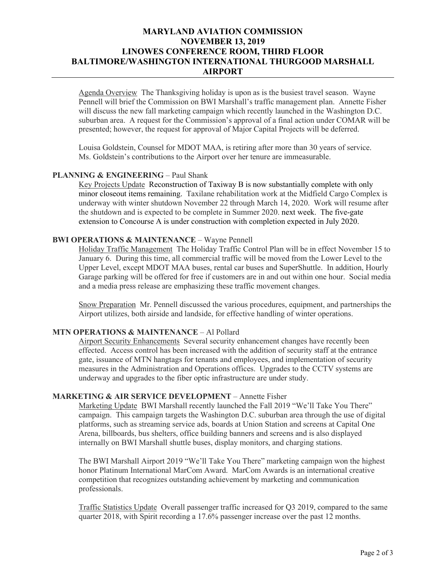# **MARYLAND AVIATION COMMISSION NOVEMBER 13, 2019 LINOWES CONFERENCE ROOM, THIRD FLOOR BALTIMORE/WASHINGTON INTERNATIONAL THURGOOD MARSHALL AIRPORT**

Agenda Overview The Thanksgiving holiday is upon as is the busiest travel season. Wayne Pennell will brief the Commission on BWI Marshall's traffic management plan. Annette Fisher will discuss the new fall marketing campaign which recently launched in the Washington D.C. suburban area. A request for the Commission's approval of a final action under COMAR will be presented; however, the request for approval of Major Capital Projects will be deferred.

Louisa Goldstein, Counsel for MDOT MAA, is retiring after more than 30 years of service. Ms. Goldstein's contributions to the Airport over her tenure are immeasurable.

### **PLANNING & ENGINEERING** – Paul Shank

Key Projects Update Reconstruction of Taxiway B is now substantially complete with only minor closeout items remaining. Taxilane rehabilitation work at the Midfield Cargo Complex is underway with winter shutdown November 22 through March 14, 2020. Work will resume after the shutdown and is expected to be complete in Summer 2020. next week. The five-gate extension to Concourse A is under construction with completion expected in July 2020.

## **BWI OPERATIONS & MAINTENANCE** – Wayne Pennell

Holiday Traffic Management The Holiday Traffic Control Plan will be in effect November 15 to January 6. During this time, all commercial traffic will be moved from the Lower Level to the Upper Level, except MDOT MAA buses, rental car buses and SuperShuttle. In addition, Hourly Garage parking will be offered for free if customers are in and out within one hour. Social media and a media press release are emphasizing these traffic movement changes.

Snow Preparation Mr. Pennell discussed the various procedures, equipment, and partnerships the Airport utilizes, both airside and landside, for effective handling of winter operations.

#### **MTN OPERATIONS & MAINTENANCE** – Al Pollard

Airport Security Enhancements Several security enhancement changes have recently been effected. Access control has been increased with the addition of security staff at the entrance gate, issuance of MTN hangtags for tenants and employees, and implementation of security measures in the Administration and Operations offices. Upgrades to the CCTV systems are underway and upgrades to the fiber optic infrastructure are under study.

## **MARKETING & AIR SERVICE DEVELOPMENT** – Annette Fisher

Marketing Update BWI Marshall recently launched the Fall 2019 "We'll Take You There" campaign. This campaign targets the Washington D.C. suburban area through the use of digital platforms, such as streaming service ads, boards at Union Station and screens at Capital One Arena, billboards, bus shelters, office building banners and screens and is also displayed internally on BWI Marshall shuttle buses, display monitors, and charging stations.

The BWI Marshall Airport 2019 "We'll Take You There" marketing campaign won the highest honor Platinum International MarCom Award. MarCom Awards is an international creative competition that recognizes outstanding achievement by marketing and communication professionals.

Traffic Statistics Update Overall passenger traffic increased for Q3 2019, compared to the same quarter 2018, with Spirit recording a 17.6% passenger increase over the past 12 months.